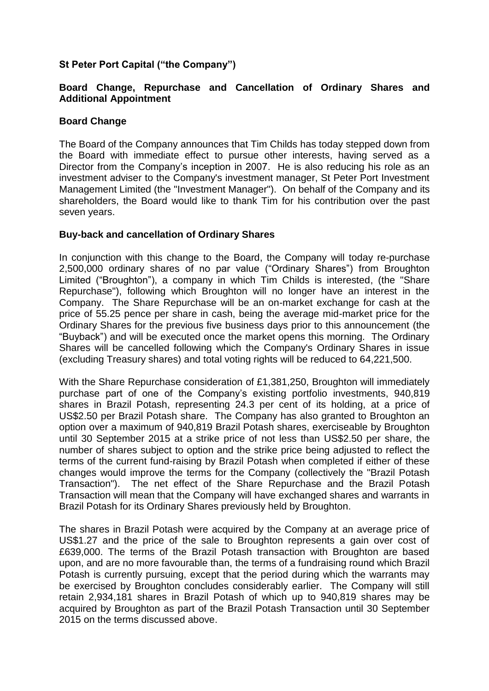# **St Peter Port Capital ("the Company")**

## **Board Change, Repurchase and Cancellation of Ordinary Shares and Additional Appointment**

## **Board Change**

The Board of the Company announces that Tim Childs has today stepped down from the Board with immediate effect to pursue other interests, having served as a Director from the Company's inception in 2007. He is also reducing his role as an investment adviser to the Company's investment manager, St Peter Port Investment Management Limited (the "Investment Manager"). On behalf of the Company and its shareholders, the Board would like to thank Tim for his contribution over the past seven years.

#### **Buy-back and cancellation of Ordinary Shares**

In conjunction with this change to the Board, the Company will today re-purchase 2,500,000 ordinary shares of no par value ("Ordinary Shares") from Broughton Limited ("Broughton"), a company in which Tim Childs is interested, (the "Share Repurchase"), following which Broughton will no longer have an interest in the Company. The Share Repurchase will be an on-market exchange for cash at the price of 55.25 pence per share in cash, being the average mid-market price for the Ordinary Shares for the previous five business days prior to this announcement (the "Buyback") and will be executed once the market opens this morning. The Ordinary Shares will be cancelled following which the Company's Ordinary Shares in issue (excluding Treasury shares) and total voting rights will be reduced to 64,221,500.

With the Share Repurchase consideration of £1,381,250, Broughton will immediately purchase part of one of the Company's existing portfolio investments, 940,819 shares in Brazil Potash, representing 24.3 per cent of its holding, at a price of US\$2.50 per Brazil Potash share. The Company has also granted to Broughton an option over a maximum of 940,819 Brazil Potash shares, exerciseable by Broughton until 30 September 2015 at a strike price of not less than US\$2.50 per share, the number of shares subject to option and the strike price being adjusted to reflect the terms of the current fund-raising by Brazil Potash when completed if either of these changes would improve the terms for the Company (collectively the "Brazil Potash Transaction"). The net effect of the Share Repurchase and the Brazil Potash Transaction will mean that the Company will have exchanged shares and warrants in Brazil Potash for its Ordinary Shares previously held by Broughton.

The shares in Brazil Potash were acquired by the Company at an average price of US\$1.27 and the price of the sale to Broughton represents a gain over cost of £639,000. The terms of the Brazil Potash transaction with Broughton are based upon, and are no more favourable than, the terms of a fundraising round which Brazil Potash is currently pursuing, except that the period during which the warrants may be exercised by Broughton concludes considerably earlier. The Company will still retain 2,934,181 shares in Brazil Potash of which up to 940,819 shares may be acquired by Broughton as part of the Brazil Potash Transaction until 30 September 2015 on the terms discussed above.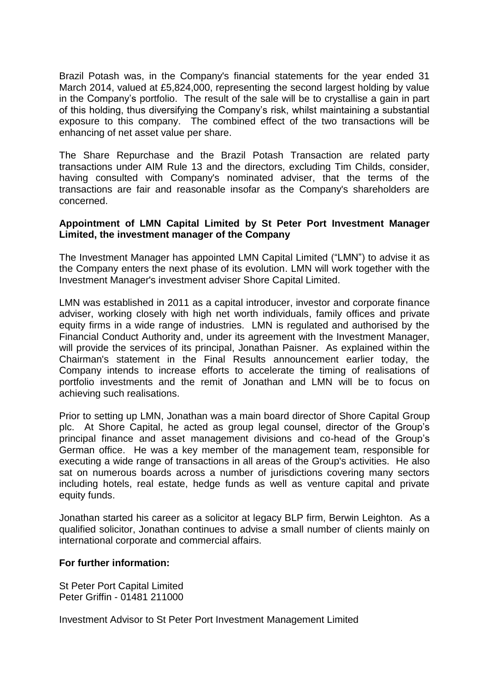Brazil Potash was, in the Company's financial statements for the year ended 31 March 2014, valued at £5,824,000, representing the second largest holding by value in the Company's portfolio. The result of the sale will be to crystallise a gain in part of this holding, thus diversifying the Company's risk, whilst maintaining a substantial exposure to this company. The combined effect of the two transactions will be enhancing of net asset value per share.

The Share Repurchase and the Brazil Potash Transaction are related party transactions under AIM Rule 13 and the directors, excluding Tim Childs, consider, having consulted with Company's nominated adviser, that the terms of the transactions are fair and reasonable insofar as the Company's shareholders are concerned.

## **Appointment of LMN Capital Limited by St Peter Port Investment Manager Limited, the investment manager of the Company**

The Investment Manager has appointed LMN Capital Limited ("LMN") to advise it as the Company enters the next phase of its evolution. LMN will work together with the Investment Manager's investment adviser Shore Capital Limited.

LMN was established in 2011 as a capital introducer, investor and corporate finance adviser, working closely with high net worth individuals, family offices and private equity firms in a wide range of industries. LMN is regulated and authorised by the Financial Conduct Authority and, under its agreement with the Investment Manager, will provide the services of its principal, Jonathan Paisner. As explained within the Chairman's statement in the Final Results announcement earlier today, the Company intends to increase efforts to accelerate the timing of realisations of portfolio investments and the remit of Jonathan and LMN will be to focus on achieving such realisations.

Prior to setting up LMN, Jonathan was a main board director of Shore Capital Group plc. At Shore Capital, he acted as group legal counsel, director of the Group's principal finance and asset management divisions and co-head of the Group's German office. He was a key member of the management team, responsible for executing a wide range of transactions in all areas of the Group's activities. He also sat on numerous boards across a number of jurisdictions covering many sectors including hotels, real estate, hedge funds as well as venture capital and private equity funds.

Jonathan started his career as a solicitor at legacy BLP firm, Berwin Leighton. As a qualified solicitor, Jonathan continues to advise a small number of clients mainly on international corporate and commercial affairs.

## **For further information:**

St Peter Port Capital Limited Peter Griffin - 01481 211000

Investment Advisor to St Peter Port Investment Management Limited